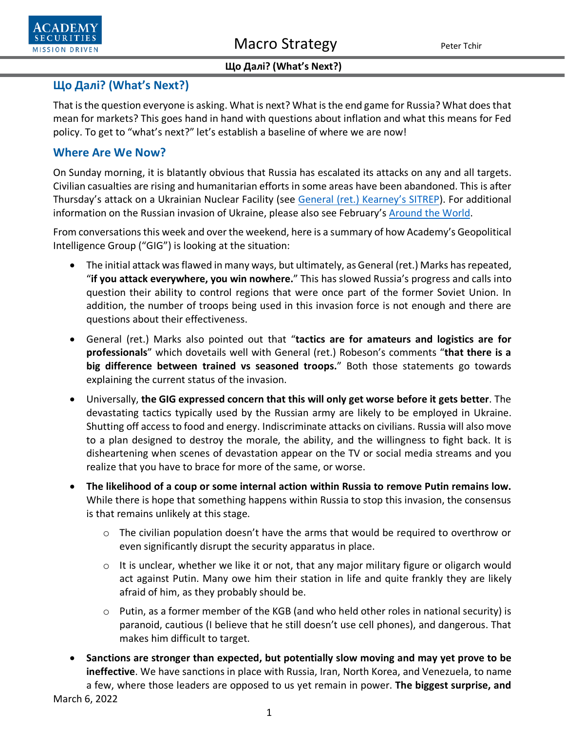



# **Що Далі? (What's Next?)**

That is the question everyone is asking. What is next? What is the end game for Russia? What does that mean for markets? This goes hand in hand with questions about inflation and what this means for Fed policy. To get to "what's next?" let's establish a baseline of where we are now!

# **Where Are We Now?**

On Sunday morning, it is blatantly obvious that Russia has escalated its attacks on any and all targets. Civilian casualties are rising and humanitarian efforts in some areas have been abandoned. This is after Thursday's attack on a Ukrainian Nuclear Facility (see [General \(ret.\) Kearney's SITREP\)](https://www.academysecurities.com/russian-attack-on-ukrainian-nuclear-facility/). For additional information on the Russian invasion of Ukraine, please also see February's [Around the World.](https://www.academysecurities.com/wordpress/wp-content/uploads/2022/02/Around-the-World-with-Academy-Securities_2_28_22.pdf)

From conversations this week and over the weekend, here is a summary of how Academy's Geopolitical Intelligence Group ("GIG") is looking at the situation:

- The initial attack was flawed in many ways, but ultimately, as General (ret.) Marks has repeated, "**if you attack everywhere, you win nowhere.**" This has slowed Russia's progress and calls into question their ability to control regions that were once part of the former Soviet Union. In addition, the number of troops being used in this invasion force is not enough and there are questions about their effectiveness.
- General (ret.) Marks also pointed out that "**tactics are for amateurs and logistics are for professionals**" which dovetails well with General (ret.) Robeson's comments "**that there is a big difference between trained vs seasoned troops.**" Both those statements go towards explaining the current status of the invasion.
- Universally, **the GIG expressed concern that this will only get worse before it gets better**. The devastating tactics typically used by the Russian army are likely to be employed in Ukraine. Shutting off access to food and energy. Indiscriminate attacks on civilians. Russia will also move to a plan designed to destroy the morale, the ability, and the willingness to fight back. It is disheartening when scenes of devastation appear on the TV or social media streams and you realize that you have to brace for more of the same, or worse.
- **The likelihood of a coup or some internal action within Russia to remove Putin remains low.**  While there is hope that something happens within Russia to stop this invasion, the consensus is that remains unlikely at this stage.
	- o The civilian population doesn't have the arms that would be required to overthrow or even significantly disrupt the security apparatus in place.
	- $\circ$  It is unclear, whether we like it or not, that any major military figure or oligarch would act against Putin. Many owe him their station in life and quite frankly they are likely afraid of him, as they probably should be.
	- $\circ$  Putin, as a former member of the KGB (and who held other roles in national security) is paranoid, cautious (I believe that he still doesn't use cell phones), and dangerous. That makes him difficult to target.
- **Sanctions are stronger than expected, but potentially slow moving and may yet prove to be ineffective**. We have sanctions in place with Russia, Iran, North Korea, and Venezuela, to name a few, where those leaders are opposed to us yet remain in power. **The biggest surprise, and**

March 6, 2022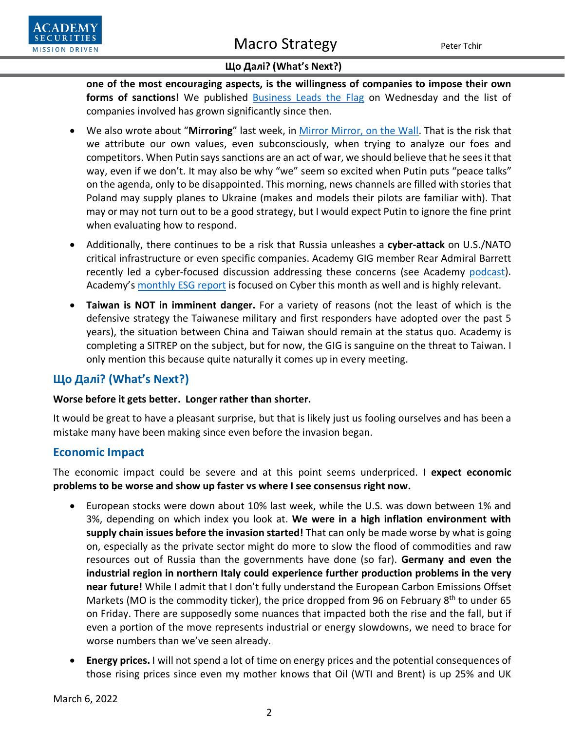

**one of the most encouraging aspects, is the willingness of companies to impose their own forms of sanctions!** We published [Business Leads the Flag](https://www.academysecurities.com/wordpress/wp-content/uploads/2022/03/Business-Follows-and-Even-Leads-the-Flag.pdf) on Wednesday and the list of companies involved has grown significantly since then.

- We also wrote about "**Mirroring**" last week, in [Mirror Mirror, on the Wall.](https://www.academysecurities.com/wordpress/wp-content/uploads/2022/03/Mirror-Mirror-on-the-Wall.pdf) That is the risk that we attribute our own values, even subconsciously, when trying to analyze our foes and competitors. When Putin says sanctions are an act of war, we should believe that he sees it that way, even if we don't. It may also be why "we" seem so excited when Putin puts "peace talks" on the agenda, only to be disappointed. This morning, news channels are filled with stories that Poland may supply planes to Ukraine (makes and models their pilots are familiar with). That may or may not turn out to be a good strategy, but I would expect Putin to ignore the fine print when evaluating how to respond.
- Additionally, there continues to be a risk that Russia unleashes a **cyber-attack** on U.S./NATO critical infrastructure or even specific companies. Academy GIG member Rear Admiral Barrett recently led a cyber-focused discussion addressing these concerns (see Academy [podcast\)](https://www.academysecurities.com/geopolitical/geopolitical-podcasts/). Academy's [monthly ESG report](https://www.academysecurities.com/mission/environmental-social-and-corporate-governance-esg/) is focused on Cyber this month as well and is highly relevant.
- **Taiwan is NOT in imminent danger.** For a variety of reasons (not the least of which is the defensive strategy the Taiwanese military and first responders have adopted over the past 5 years), the situation between China and Taiwan should remain at the status quo. Academy is completing a SITREP on the subject, but for now, the GIG is sanguine on the threat to Taiwan. I only mention this because quite naturally it comes up in every meeting.

# **Що Далі? (What's Next?)**

#### **Worse before it gets better. Longer rather than shorter.**

It would be great to have a pleasant surprise, but that is likely just us fooling ourselves and has been a mistake many have been making since even before the invasion began.

# **Economic Impact**

The economic impact could be severe and at this point seems underpriced. **I expect economic problems to be worse and show up faster vs where I see consensus right now.**

- European stocks were down about 10% last week, while the U.S. was down between 1% and 3%, depending on which index you look at. **We were in a high inflation environment with supply chain issues before the invasion started!** That can only be made worse by what is going on, especially as the private sector might do more to slow the flood of commodities and raw resources out of Russia than the governments have done (so far). **Germany and even the industrial region in northern Italy could experience further production problems in the very near future!** While I admit that I don't fully understand the European Carbon Emissions Offset Markets (MO is the commodity ticker), the price dropped from 96 on February 8<sup>th</sup> to under 65 on Friday. There are supposedly some nuances that impacted both the rise and the fall, but if even a portion of the move represents industrial or energy slowdowns, we need to brace for worse numbers than we've seen already.
- **Energy prices.** I will not spend a lot of time on energy prices and the potential consequences of those rising prices since even my mother knows that Oil (WTI and Brent) is up 25% and UK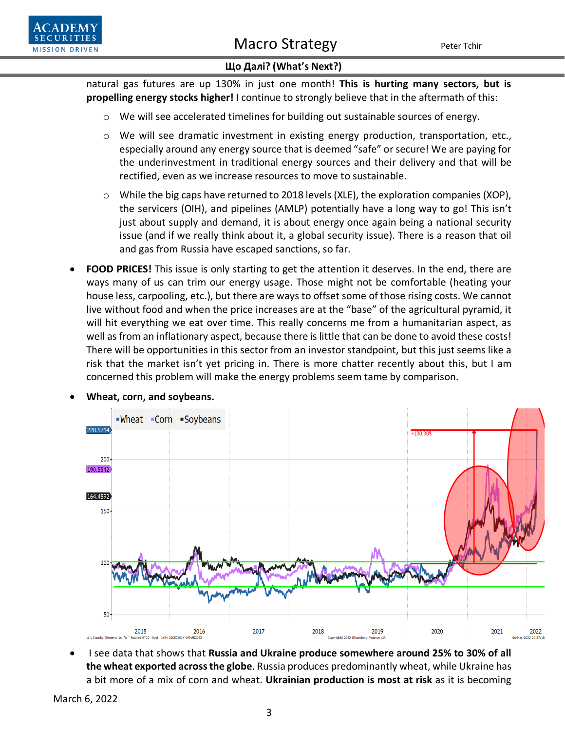



natural gas futures are up 130% in just one month! **This is hurting many sectors, but is propelling energy stocks higher!** I continue to strongly believe that in the aftermath of this:

- o We will see accelerated timelines for building out sustainable sources of energy.
- o We will see dramatic investment in existing energy production, transportation, etc., especially around any energy source that is deemed "safe" or secure! We are paying for the underinvestment in traditional energy sources and their delivery and that will be rectified, even as we increase resources to move to sustainable.
- $\circ$  While the big caps have returned to 2018 levels (XLE), the exploration companies (XOP), the servicers (OIH), and pipelines (AMLP) potentially have a long way to go! This isn't just about supply and demand, it is about energy once again being a national security issue (and if we really think about it, a global security issue). There is a reason that oil and gas from Russia have escaped sanctions, so far.
- **FOOD PRICES!** This issue is only starting to get the attention it deserves. In the end, there are ways many of us can trim our energy usage. Those might not be comfortable (heating your house less, carpooling, etc.), but there are ways to offset some of those rising costs. We cannot live without food and when the price increases are at the "base" of the agricultural pyramid, it will hit everything we eat over time. This really concerns me from a humanitarian aspect, as well as from an inflationary aspect, because there is little that can be done to avoid these costs! There will be opportunities in this sector from an investor standpoint, but this just seems like a risk that the market isn't yet pricing in. There is more chatter recently about this, but I am concerned this problem will make the energy problems seem tame by comparison.



• **Wheat, corn, and soybeans.**

• I see data that shows that **Russia and Ukraine produce somewhere around 25% to 30% of all the wheat exported across the globe**. Russia produces predominantly wheat, while Ukraine has a bit more of a mix of corn and wheat. **Ukrainian production is most at risk** as it is becoming

March 6, 2022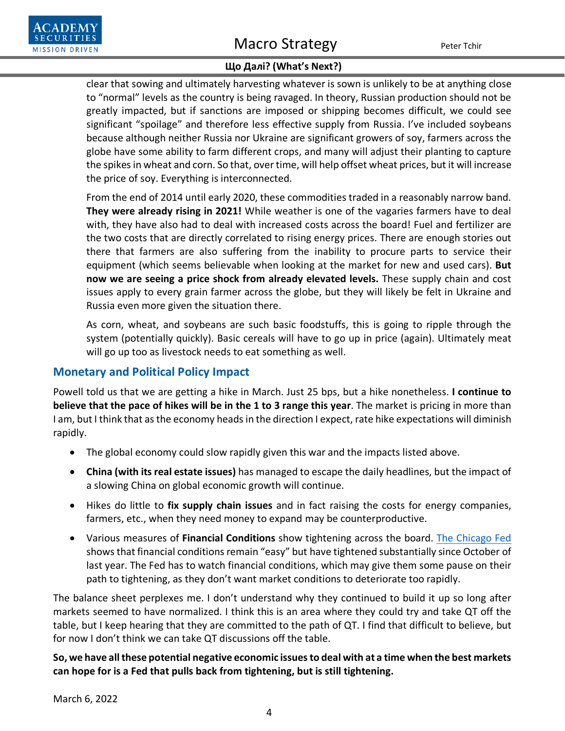# Macro Strategy Peter Tchir



clear that sowing and ultimately harvesting whatever is sown is unlikely to be at anything close to "normal" levels as the country is being ravaged. In theory, Russian production should not be greatly impacted, but if sanctions are imposed or shipping becomes difficult, we could see significant "spoilage" and therefore less effective supply from Russia. I've included soybeans because although neither Russia nor Ukraine are significant growers of soy, farmers across the globe have some ability to farm different crops, and many will adjust their planting to capture the spikes in wheat and corn. So that, over time, will help offset wheat prices, but it will increase the price of soy. Everything is interconnected.

From the end of 2014 until early 2020, these commodities traded in a reasonably narrow band. **They were already rising in 2021!** While weather is one of the vagaries farmers have to deal with, they have also had to deal with increased costs across the board! Fuel and fertilizer are the two costs that are directly correlated to rising energy prices. There are enough stories out there that farmers are also suffering from the inability to procure parts to service their equipment (which seems believable when looking at the market for new and used cars). **But now we are seeing a price shock from already elevated levels.** These supply chain and cost issues apply to every grain farmer across the globe, but they will likely be felt in Ukraine and Russia even more given the situation there.

As corn, wheat, and soybeans are such basic foodstuffs, this is going to ripple through the system (potentially quickly). Basic cereals will have to go up in price (again). Ultimately meat will go up too as livestock needs to eat something as well.

# **Monetary and Political Policy Impact**

Powell told us that we are getting a hike in March. Just 25 bps, but a hike nonetheless. **I continue to believe that the pace of hikes will be in the 1 to 3 range this year**. The market is pricing in more than I am, but I think that as the economy heads in the direction I expect, rate hike expectations will diminish rapidly.

- The global economy could slow rapidly given this war and the impacts listed above.
- **China (with its real estate issues)** has managed to escape the daily headlines, but the impact of a slowing China on global economic growth will continue.
- Hikes do little to **fix supply chain issues** and in fact raising the costs for energy companies, farmers, etc., when they need money to expand may be counterproductive.
- Various measures of **Financial Conditions** show tightening across the board. [The Chicago Fed](about:blank) shows that financial conditions remain "easy" but have tightened substantially since October of last year. The Fed has to watch financial conditions, which may give them some pause on their path to tightening, as they don't want market conditions to deteriorate too rapidly.

The balance sheet perplexes me. I don't understand why they continued to build it up so long after markets seemed to have normalized. I think this is an area where they could try and take QT off the table, but I keep hearing that they are committed to the path of QT. I find that difficult to believe, but for now I don't think we can take QT discussions off the table.

**So, we have all these potential negative economic issues to deal with at a time when the best markets can hope for is a Fed that pulls back from tightening, but is still tightening.**

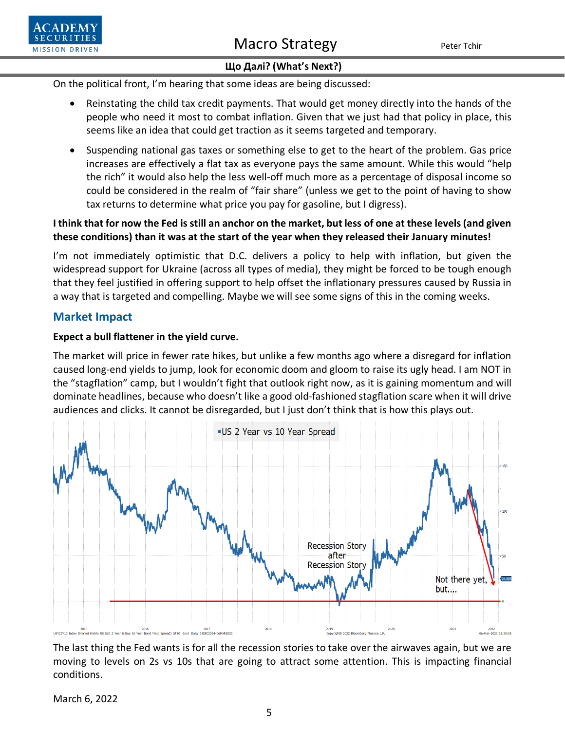On the political front, I'm hearing that some ideas are being discussed:

- Reinstating the child tax credit payments. That would get money directly into the hands of the people who need it most to combat inflation. Given that we just had that policy in place, this seems like an idea that could get traction as it seems targeted and temporary.
- Suspending national gas taxes or something else to get to the heart of the problem. Gas price increases are effectively a flat tax as everyone pays the same amount. While this would "help the rich" it would also help the less well-off much more as a percentage of disposal income so could be considered in the realm of "fair share" (unless we get to the point of having to show tax returns to determine what price you pay for gasoline, but I digress).

### **I think that for now the Fed is still an anchor on the market, but less of one at these levels (and given these conditions) than it was at the start of the year when they released their January minutes!**

I'm not immediately optimistic that D.C. delivers a policy to help with inflation, but given the widespread support for Ukraine (across all types of media), they might be forced to be tough enough that they feel justified in offering support to help offset the inflationary pressures caused by Russia in a way that is targeted and compelling. Maybe we will see some signs of this in the coming weeks.

# **Market Impact**

**SECURIT MISSION DRIVEN** 

#### **Expect a bull flattener in the yield curve.**

The market will price in fewer rate hikes, but unlike a few months ago where a disregard for inflation caused long-end yields to jump, look for economic doom and gloom to raise its ugly head. I am NOT in the "stagflation" camp, but I wouldn't fight that outlook right now, as it is gaining momentum and will dominate headlines, because who doesn't like a good old-fashioned stagflation scare when it will drive audiences and clicks. It cannot be disregarded, but I just don't think that is how this plays out.



The last thing the Fed wants is for all the recession stories to take over the airwaves again, but we are moving to levels on 2s vs 10s that are going to attract some attention. This is impacting financial conditions.

March 6, 2022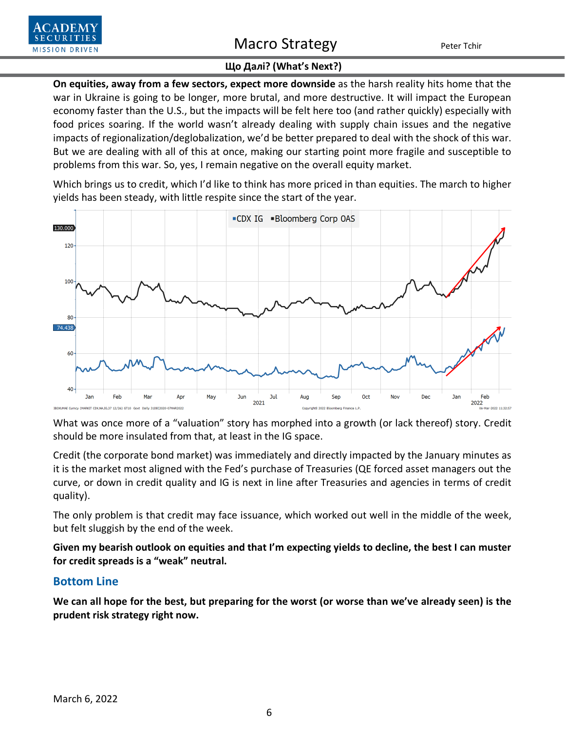

# Macro Strategy Peter Tchir

#### **Що Далі? (What's Next?)**

**On equities, away from a few sectors, expect more downside** as the harsh reality hits home that the war in Ukraine is going to be longer, more brutal, and more destructive. It will impact the European economy faster than the U.S., but the impacts will be felt here too (and rather quickly) especially with food prices soaring. If the world wasn't already dealing with supply chain issues and the negative impacts of regionalization/deglobalization, we'd be better prepared to deal with the shock of this war. But we are dealing with all of this at once, making our starting point more fragile and susceptible to problems from this war. So, yes, I remain negative on the overall equity market.

Which brings us to credit, which I'd like to think has more priced in than equities. The march to higher yields has been steady, with little respite since the start of the year.



What was once more of a "valuation" story has morphed into a growth (or lack thereof) story. Credit should be more insulated from that, at least in the IG space.

Credit (the corporate bond market) was immediately and directly impacted by the January minutes as it is the market most aligned with the Fed's purchase of Treasuries (QE forced asset managers out the curve, or down in credit quality and IG is next in line after Treasuries and agencies in terms of credit quality).

The only problem is that credit may face issuance, which worked out well in the middle of the week, but felt sluggish by the end of the week.

**Given my bearish outlook on equities and that I'm expecting yields to decline, the best I can muster for credit spreads is a "weak" neutral.**

#### **Bottom Line**

**We can all hope for the best, but preparing for the worst (or worse than we've already seen) is the prudent risk strategy right now.**